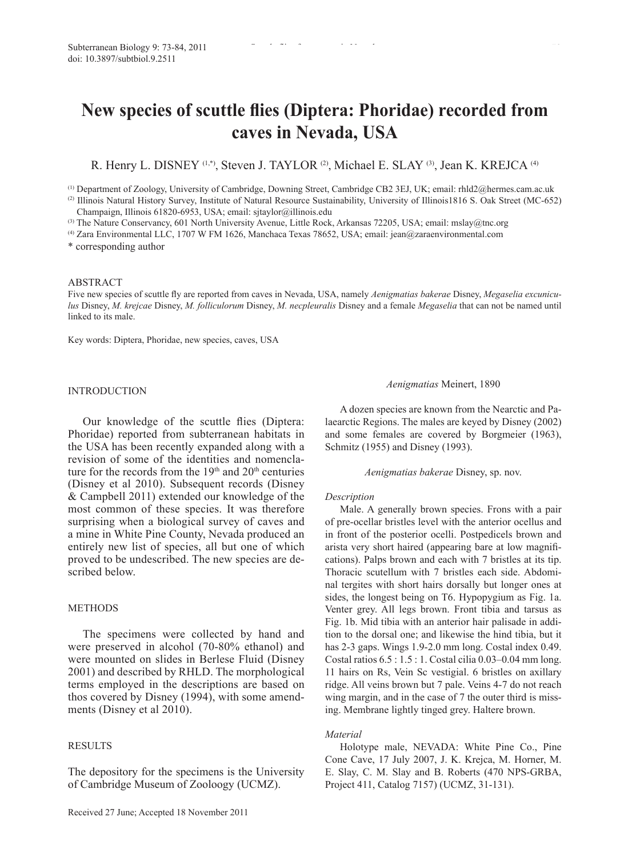# **New species of scuttle flies (Diptera: Phoridae) recorded from caves in Nevada, USA**

R. Henry L. DISNEY (1,\*), Steven J. TAYLOR (2), Michael E. SLAY (3), Jean K. KREJCA (4)

(1) Department of Zoology, University of Cambridge, Downing Street, Cambridge CB2 3EJ, UK; email: [rhld2@hermes.cam.ac.uk](mailto:rhld2@hermes.cam.ac.uk)

(2) Illinois Natural History Survey, Institute of Natural Resource Sustainability, University of Illinois1816 S. Oak Street (MC-652) Champaign, Illinois 61820-6953, USA; email: [sjtaylor@illinois.edu](mailto:sjtaylor@illinois.edu)

(3) The Nature Conservancy, 601 North University Avenue, Little Rock, Arkansas 72205, USA; email: [mslay@tnc.org](mailto:mslay@tnc.org)

(4) Zara Environmental LLC, 1707 W FM 1626, Manchaca Texas 78652, USA; email: [jean@zaraenvironmental.com](mailto:jean@zaraenvironmental.com)

\* corresponding author

# ABSTRACT

Five new species of scuttle fly are reported from caves in Nevada, USA, namely *Aenigmatias bakerae* Disney, *Megaselia excuniculus* Disney, *M. krejcae* Disney, *M. folliculorum* Disney, *M. necpleuralis* Disney and a female *Megaselia* that can not be named until linked to its male.

Key words: Diptera, Phoridae, new species, caves, USA

# INTRODUCTION

Our knowledge of the scuttle flies (Diptera: Phoridae) reported from subterranean habitats in the USA has been recently expanded along with a revision of some of the identities and nomenclature for the records from the 19<sup>th</sup> and 20<sup>th</sup> centuries (Disney et al 2010). Subsequent records (Disney & Campbell 2011) extended our knowledge of the most common of these species. It was therefore surprising when a biological survey of caves and a mine in White Pine County, Nevada produced an entirely new list of species, all but one of which proved to be undescribed. The new species are described below.

# METHODS

The specimens were collected by hand and were preserved in alcohol (70-80% ethanol) and were mounted on slides in Berlese Fluid (Disney 2001) and described by RHLD. The morphological terms employed in the descriptions are based on thos covered by Disney (1994), with some amendments (Disney et al 2010).

# RESULTS

The depository for the specimens is the University of Cambridge Museum of Zooloogy (UCMZ).

#### *Aenigmatias* Meinert, 1890

A dozen species are known from the Nearctic and Palaearctic Regions. The males are keyed by Disney (2002) and some females are covered by Borgmeier (1963), Schmitz (1955) and Disney (1993).

## *Aenigmatias bakerae* Disney, sp. nov.

## *Description*

Male. A generally brown species. Frons with a pair of pre-ocellar bristles level with the anterior ocellus and in front of the posterior ocelli. Postpedicels brown and arista very short haired (appearing bare at low magnifications). Palps brown and each with 7 bristles at its tip. Thoracic scutellum with 7 bristles each side. Abdominal tergites with short hairs dorsally but longer ones at sides, the longest being on T6. Hypopygium as Fig. 1a. Venter grey. All legs brown. Front tibia and tarsus as Fig. 1b. Mid tibia with an anterior hair palisade in addition to the dorsal one; and likewise the hind tibia, but it has 2-3 gaps. Wings 1.9-2.0 mm long. Costal index 0.49. Costal ratios 6.5 : 1.5 : 1. Costal cilia 0.03–0.04 mm long. 11 hairs on Rs, Vein Sc vestigial. 6 bristles on axillary ridge. All veins brown but 7 pale. Veins 4-7 do not reach wing margin, and in the case of 7 the outer third is missing. Membrane lightly tinged grey. Haltere brown.

# *Material*

Holotype male, NEVADA: White Pine Co., Pine Cone Cave, 17 July 2007, J. K. Krejca, M. Horner, M. E. Slay, C. M. Slay and B. Roberts (470 NPS-GRBA, Project 411, Catalog 7157) (UCMZ, 31-131).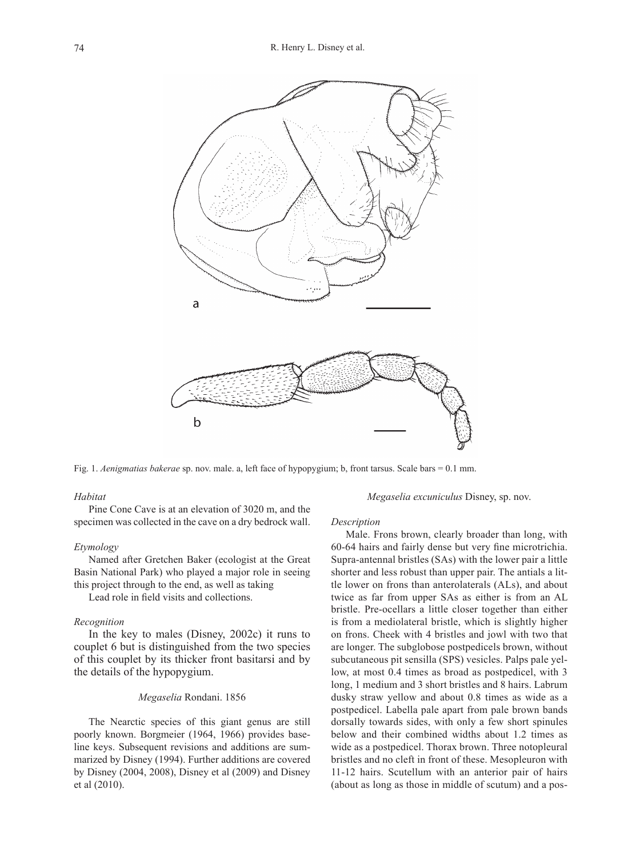

Fig. 1. *Aenigmatias bakerae* sp. nov. male. a, left face of hypopygium; b, front tarsus. Scale bars = 0.1 mm.

#### *Habitat*

Pine Cone Cave is at an elevation of 3020 m, and the specimen was collected in the cave on a dry bedrock wall.

#### *Etymology*

Named after Gretchen Baker (ecologist at the Great Basin National Park) who played a major role in seeing this project through to the end, as well as taking

Lead role in field visits and collections.

## *Recognition*

In the key to males (Disney, 2002c) it runs to couplet 6 but is distinguished from the two species of this couplet by its thicker front basitarsi and by the details of the hypopygium.

## *Megaselia* Rondani. 1856

The Nearctic species of this giant genus are still poorly known. Borgmeier (1964, 1966) provides baseline keys. Subsequent revisions and additions are summarized by Disney (1994). Further additions are covered by Disney (2004, 2008), Disney et al (2009) and Disney et al (2010).

## *Megaselia excuniculus* Disney, sp. nov.

## *Description*

Male. Frons brown, clearly broader than long, with 60-64 hairs and fairly dense but very fine microtrichia. Supra-antennal bristles (SAs) with the lower pair a little shorter and less robust than upper pair. The antials a little lower on frons than anterolaterals (ALs), and about twice as far from upper SAs as either is from an AL bristle. Pre-ocellars a little closer together than either is from a mediolateral bristle, which is slightly higher on frons. Cheek with 4 bristles and jowl with two that are longer. The subglobose postpedicels brown, without subcutaneous pit sensilla (SPS) vesicles. Palps pale yellow, at most 0.4 times as broad as postpedicel, with 3 long, 1 medium and 3 short bristles and 8 hairs. Labrum dusky straw yellow and about 0.8 times as wide as a postpedicel. Labella pale apart from pale brown bands dorsally towards sides, with only a few short spinules below and their combined widths about 1.2 times as wide as a postpedicel. Thorax brown. Three notopleural bristles and no cleft in front of these. Mesopleuron with 11-12 hairs. Scutellum with an anterior pair of hairs (about as long as those in middle of scutum) and a pos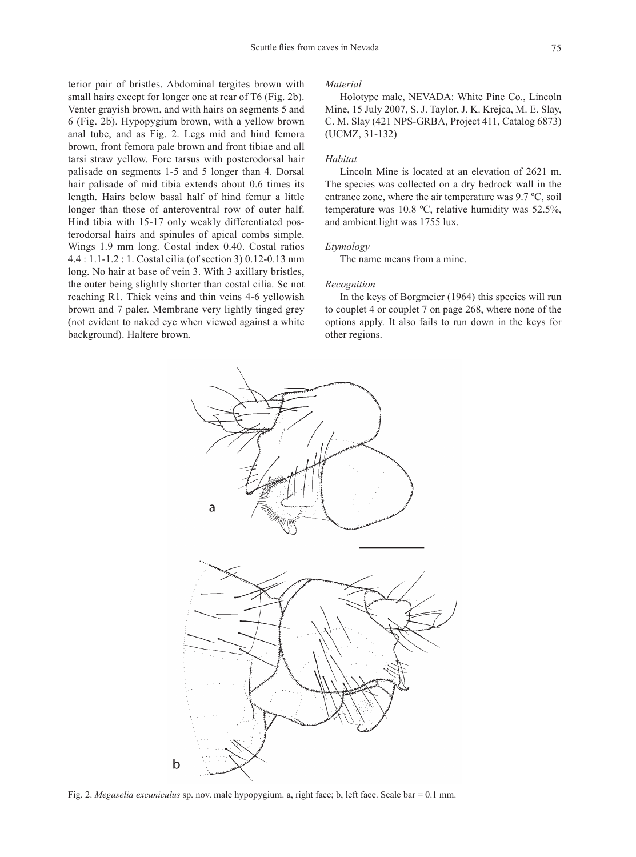terior pair of bristles. Abdominal tergites brown with small hairs except for longer one at rear of T6 (Fig. 2b). Venter grayish brown, and with hairs on segments 5 and 6 (Fig. 2b). Hypopygium brown, with a yellow brown anal tube, and as Fig. 2. Legs mid and hind femora brown, front femora pale brown and front tibiae and all tarsi straw yellow. Fore tarsus with posterodorsal hair palisade on segments 1-5 and 5 longer than 4. Dorsal hair palisade of mid tibia extends about 0.6 times its length. Hairs below basal half of hind femur a little longer than those of anteroventral row of outer half. Hind tibia with 15-17 only weakly differentiated posterodorsal hairs and spinules of apical combs simple. Wings 1.9 mm long. Costal index 0.40. Costal ratios 4.4 : 1.1-1.2 : 1. Costal cilia (of section 3) 0.12-0.13 mm long. No hair at base of vein 3. With 3 axillary bristles, the outer being slightly shorter than costal cilia. Sc not reaching R1. Thick veins and thin veins 4-6 yellowish brown and 7 paler. Membrane very lightly tinged grey (not evident to naked eye when viewed against a white background). Haltere brown.

# *Material*

Holotype male, NEVADA: White Pine Co., Lincoln Mine, 15 July 2007, S. J. Taylor, J. K. Krejca, M. E. Slay, C. M. Slay (421 NPS-GRBA, Project 411, Catalog 6873) (UCMZ, 31-132)

# *Habitat*

Lincoln Mine is located at an elevation of 2621 m. The species was collected on a dry bedrock wall in the entrance zone, where the air temperature was 9.7 ºC, soil temperature was 10.8 ºC, relative humidity was 52.5%, and ambient light was 1755 lux.

# *Etymology*

The name means from a mine.

## *Recognition*

In the keys of Borgmeier (1964) this species will run to couplet 4 or couplet 7 on page 268, where none of the options apply. It also fails to run down in the keys for other regions.



Fig. 2. *Megaselia excuniculus* sp. nov. male hypopygium. a, right face; b, left face. Scale bar = 0.1 mm.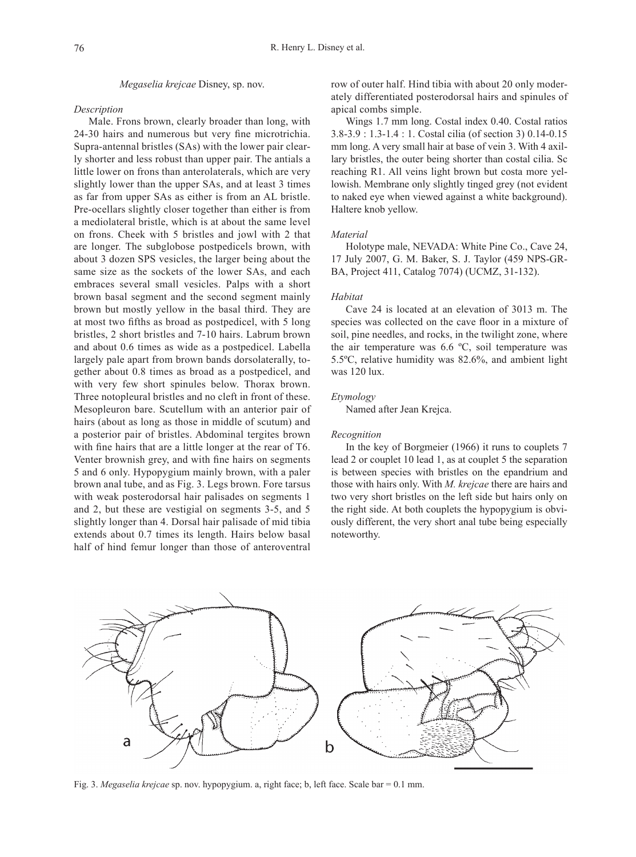*Megaselia krejcae* Disney, sp. nov.

#### *Description*

Male. Frons brown, clearly broader than long, with 24-30 hairs and numerous but very fine microtrichia. Supra-antennal bristles (SAs) with the lower pair clearly shorter and less robust than upper pair. The antials a little lower on frons than anterolaterals, which are very slightly lower than the upper SAs, and at least 3 times as far from upper SAs as either is from an AL bristle. Pre-ocellars slightly closer together than either is from a mediolateral bristle, which is at about the same level on frons. Cheek with 5 bristles and jowl with 2 that are longer. The subglobose postpedicels brown, with about 3 dozen SPS vesicles, the larger being about the same size as the sockets of the lower SAs, and each embraces several small vesicles. Palps with a short brown basal segment and the second segment mainly brown but mostly yellow in the basal third. They are at most two fifths as broad as postpedicel, with 5 long bristles, 2 short bristles and 7-10 hairs. Labrum brown and about 0.6 times as wide as a postpedicel. Labella largely pale apart from brown bands dorsolaterally, together about 0.8 times as broad as a postpedicel, and with very few short spinules below. Thorax brown. Three notopleural bristles and no cleft in front of these. Mesopleuron bare. Scutellum with an anterior pair of hairs (about as long as those in middle of scutum) and a posterior pair of bristles. Abdominal tergites brown with fine hairs that are a little longer at the rear of T6. Venter brownish grey, and with fine hairs on segments 5 and 6 only. Hypopygium mainly brown, with a paler brown anal tube, and as Fig. 3. Legs brown. Fore tarsus with weak posterodorsal hair palisades on segments 1 and 2, but these are vestigial on segments 3-5, and 5 slightly longer than 4. Dorsal hair palisade of mid tibia extends about 0.7 times its length. Hairs below basal half of hind femur longer than those of anteroventral

row of outer half. Hind tibia with about 20 only moderately differentiated posterodorsal hairs and spinules of apical combs simple.

Wings 1.7 mm long. Costal index 0.40. Costal ratios 3.8-3.9 : 1.3-1.4 : 1. Costal cilia (of section 3) 0.14-0.15 mm long. A very small hair at base of vein 3. With 4 axillary bristles, the outer being shorter than costal cilia. Sc reaching R1. All veins light brown but costa more yellowish. Membrane only slightly tinged grey (not evident to naked eye when viewed against a white background). Haltere knob yellow.

## *Material*

Holotype male, NEVADA: White Pine Co., Cave 24, 17 July 2007, G. M. Baker, S. J. Taylor (459 NPS-GR-BA, Project 411, Catalog 7074) (UCMZ, 31-132).

# *Habitat*

Cave 24 is located at an elevation of 3013 m. The species was collected on the cave floor in a mixture of soil, pine needles, and rocks, in the twilight zone, where the air temperature was  $6.6 \text{ °C}$ , soil temperature was 5.5ºC, relative humidity was 82.6%, and ambient light was 120 lux.

#### *Etymology*

Named after Jean Krejca.

#### *Recognition*

In the key of Borgmeier (1966) it runs to couplets 7 lead 2 or couplet 10 lead 1, as at couplet 5 the separation is between species with bristles on the epandrium and those with hairs only. With *M. krejcae* there are hairs and two very short bristles on the left side but hairs only on the right side. At both couplets the hypopygium is obviously different, the very short anal tube being especially noteworthy.



Fig. 3. *Megaselia krejcae* sp. nov. hypopygium. a, right face; b, left face. Scale bar = 0.1 mm.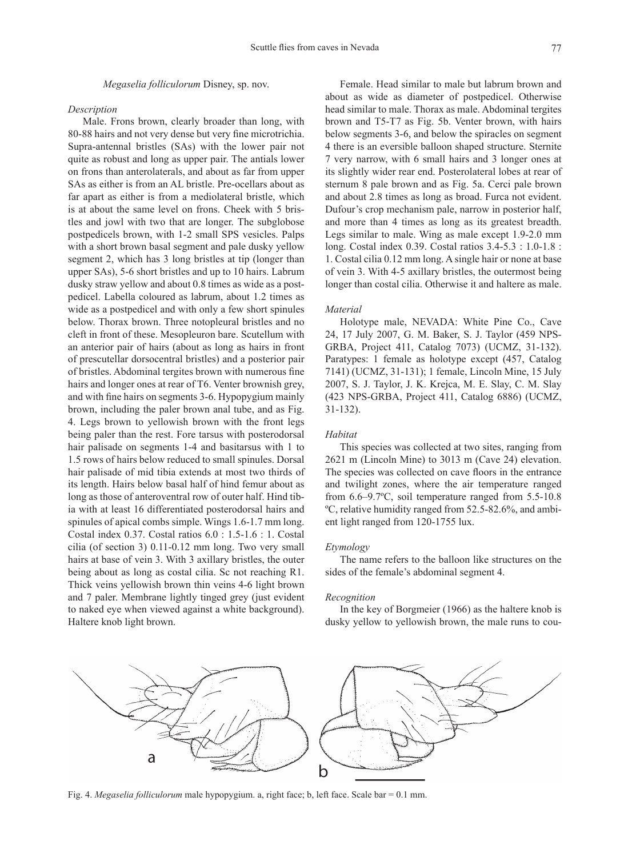## *Description*

Male. Frons brown, clearly broader than long, with 80-88 hairs and not very dense but very fine microtrichia. Supra-antennal bristles (SAs) with the lower pair not quite as robust and long as upper pair. The antials lower on frons than anterolaterals, and about as far from upper SAs as either is from an AL bristle. Pre-ocellars about as far apart as either is from a mediolateral bristle, which is at about the same level on frons. Cheek with 5 bristles and jowl with two that are longer. The subglobose postpedicels brown, with 1-2 small SPS vesicles. Palps with a short brown basal segment and pale dusky yellow segment 2, which has 3 long bristles at tip (longer than upper SAs), 5-6 short bristles and up to 10 hairs. Labrum dusky straw yellow and about 0.8 times as wide as a postpedicel. Labella coloured as labrum, about 1.2 times as wide as a postpedicel and with only a few short spinules below. Thorax brown. Three notopleural bristles and no cleft in front of these. Mesopleuron bare. Scutellum with an anterior pair of hairs (about as long as hairs in front of prescutellar dorsocentral bristles) and a posterior pair of bristles. Abdominal tergites brown with numerous fine hairs and longer ones at rear of T6. Venter brownish grey, and with fine hairs on segments 3-6. Hypopygium mainly brown, including the paler brown anal tube, and as Fig. 4. Legs brown to yellowish brown with the front legs being paler than the rest. Fore tarsus with posterodorsal hair palisade on segments 1-4 and basitarsus with 1 to 1.5 rows of hairs below reduced to small spinules. Dorsal hair palisade of mid tibia extends at most two thirds of its length. Hairs below basal half of hind femur about as long as those of anteroventral row of outer half. Hind tibia with at least 16 differentiated posterodorsal hairs and spinules of apical combs simple. Wings 1.6-1.7 mm long. Costal index 0.37. Costal ratios 6.0 : 1.5-1.6 : 1. Costal cilia (of section 3) 0.11-0.12 mm long. Two very small hairs at base of vein 3. With 3 axillary bristles, the outer being about as long as costal cilia. Sc not reaching R1. Thick veins yellowish brown thin veins 4-6 light brown and 7 paler. Membrane lightly tinged grey (just evident to naked eye when viewed against a white background). Haltere knob light brown.

Female. Head similar to male but labrum brown and about as wide as diameter of postpedicel. Otherwise head similar to male. Thorax as male. Abdominal tergites brown and T5-T7 as Fig. 5b. Venter brown, with hairs below segments 3-6, and below the spiracles on segment 4 there is an eversible balloon shaped structure. Sternite 7 very narrow, with 6 small hairs and 3 longer ones at its slightly wider rear end. Posterolateral lobes at rear of sternum 8 pale brown and as Fig. 5a. Cerci pale brown and about 2.8 times as long as broad. Furca not evident. Dufour's crop mechanism pale, narrow in posterior half, and more than 4 times as long as its greatest breadth. Legs similar to male. Wing as male except 1.9-2.0 mm long. Costal index 0.39. Costal ratios 3.4-5.3 : 1.0-1.8 : 1. Costal cilia 0.12 mm long. A single hair or none at base of vein 3. With 4-5 axillary bristles, the outermost being longer than costal cilia. Otherwise it and haltere as male.

## *Material*

Holotype male, NEVADA: White Pine Co., Cave 24, 17 July 2007, G. M. Baker, S. J. Taylor (459 NPS-GRBA, Project 411, Catalog 7073) (UCMZ, 31-132). Paratypes: 1 female as holotype except (457, Catalog 7141) (UCMZ, 31-131); 1 female, Lincoln Mine, 15 July 2007, S. J. Taylor, J. K. Krejca, M. E. Slay, C. M. Slay (423 NPS-GRBA, Project 411, Catalog 6886) (UCMZ, 31-132).

#### *Habitat*

This species was collected at two sites, ranging from 2621 m (Lincoln Mine) to 3013 m (Cave 24) elevation. The species was collected on cave floors in the entrance and twilight zones, where the air temperature ranged from 6.6–9.7ºC, soil temperature ranged from 5.5-10.8 ºC, relative humidity ranged from 52.5-82.6%, and ambient light ranged from 120-1755 lux.

#### *Etymology*

The name refers to the balloon like structures on the sides of the female's abdominal segment 4.

#### *Recognition*

In the key of Borgmeier (1966) as the haltere knob is dusky yellow to yellowish brown, the male runs to cou-



Fig. 4. *Megaselia folliculorum* male hypopygium. a, right face; b, left face. Scale bar = 0.1 mm.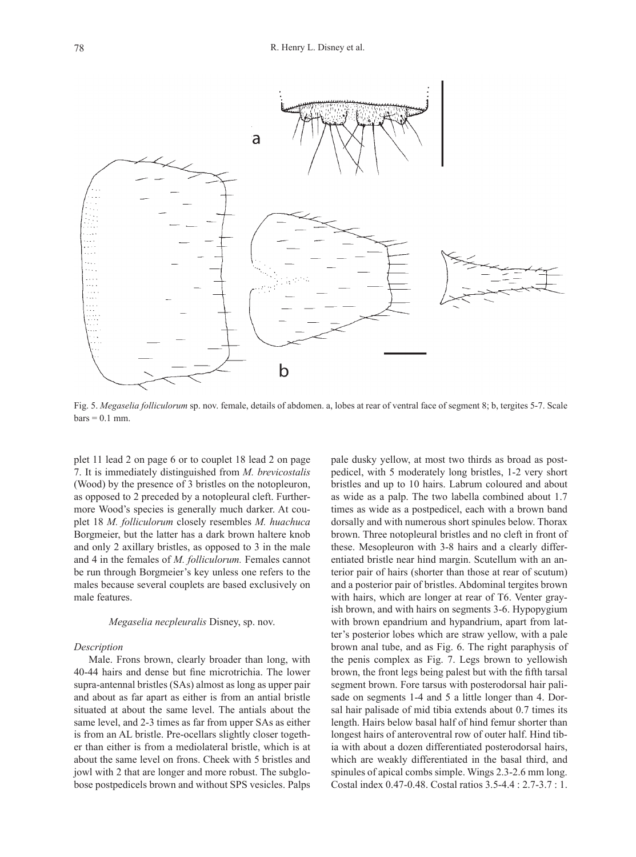

Fig. 5. *Megaselia folliculorum* sp. nov. female, details of abdomen. a, lobes at rear of ventral face of segment 8; b, tergites 5-7. Scale  $bars = 0.1$  mm.

plet 11 lead 2 on page 6 or to couplet 18 lead 2 on page 7. It is immediately distinguished from *M. brevicostalis*  (Wood) by the presence of 3 bristles on the notopleuron, as opposed to 2 preceded by a notopleural cleft. Furthermore Wood's species is generally much darker. At couplet 18 *M. folliculorum* closely resembles *M. huachuca*  Borgmeier, but the latter has a dark brown haltere knob and only 2 axillary bristles, as opposed to 3 in the male and 4 in the females of *M. folliculorum.* Females cannot be run through Borgmeier's key unless one refers to the males because several couplets are based exclusively on male features.

# *Megaselia necpleuralis* Disney, sp. nov.

#### *Description*

Male. Frons brown, clearly broader than long, with 40-44 hairs and dense but fine microtrichia. The lower supra-antennal bristles (SAs) almost as long as upper pair and about as far apart as either is from an antial bristle situated at about the same level. The antials about the same level, and 2-3 times as far from upper SAs as either is from an AL bristle. Pre-ocellars slightly closer together than either is from a mediolateral bristle, which is at about the same level on frons. Cheek with 5 bristles and jowl with 2 that are longer and more robust. The subglobose postpedicels brown and without SPS vesicles. Palps

pale dusky yellow, at most two thirds as broad as postpedicel, with 5 moderately long bristles, 1-2 very short bristles and up to 10 hairs. Labrum coloured and about as wide as a palp. The two labella combined about 1.7 times as wide as a postpedicel, each with a brown band dorsally and with numerous short spinules below. Thorax brown. Three notopleural bristles and no cleft in front of these. Mesopleuron with 3-8 hairs and a clearly differentiated bristle near hind margin. Scutellum with an anterior pair of hairs (shorter than those at rear of scutum) and a posterior pair of bristles. Abdominal tergites brown with hairs, which are longer at rear of T6. Venter grayish brown, and with hairs on segments 3-6. Hypopygium with brown epandrium and hypandrium, apart from latter's posterior lobes which are straw yellow, with a pale brown anal tube, and as Fig. 6. The right paraphysis of the penis complex as Fig. 7. Legs brown to yellowish brown, the front legs being palest but with the fifth tarsal segment brown. Fore tarsus with posterodorsal hair palisade on segments 1-4 and 5 a little longer than 4. Dorsal hair palisade of mid tibia extends about 0.7 times its length. Hairs below basal half of hind femur shorter than longest hairs of anteroventral row of outer half. Hind tibia with about a dozen differentiated posterodorsal hairs, which are weakly differentiated in the basal third, and spinules of apical combs simple. Wings 2.3-2.6 mm long. Costal index 0.47-0.48. Costal ratios 3.5-4.4 : 2.7-3.7 : 1.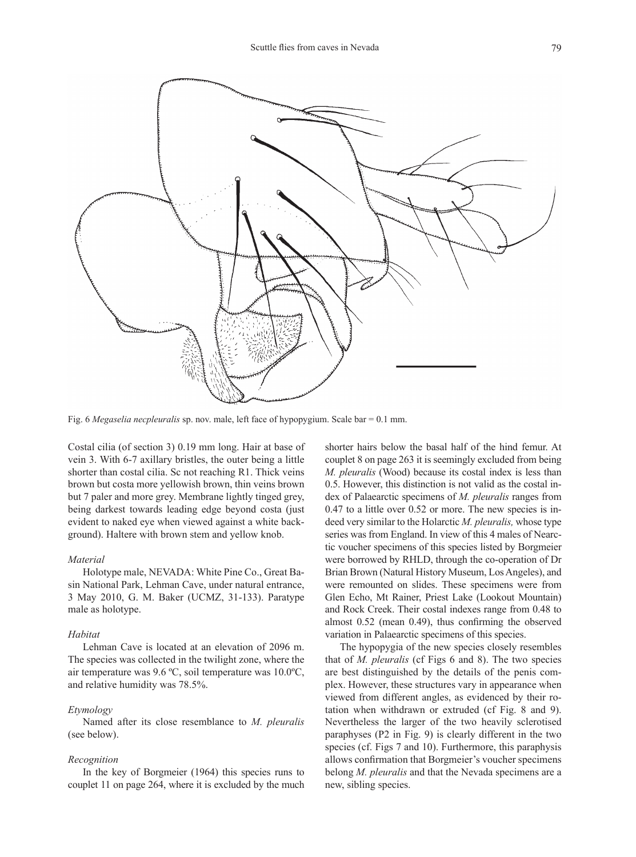

Fig. 6 *Megaselia necpleuralis* sp. nov. male, left face of hypopygium. Scale bar = 0.1 mm.

Costal cilia (of section 3) 0.19 mm long. Hair at base of vein 3. With 6-7 axillary bristles, the outer being a little shorter than costal cilia. Sc not reaching R1. Thick veins brown but costa more yellowish brown, thin veins brown but 7 paler and more grey. Membrane lightly tinged grey, being darkest towards leading edge beyond costa (just evident to naked eye when viewed against a white background). Haltere with brown stem and yellow knob.

## *Material*

Holotype male, NEVADA: White Pine Co., Great Basin National Park, Lehman Cave, under natural entrance, 3 May 2010, G. M. Baker (UCMZ, 31-133). Paratype male as holotype.

#### *Habitat*

Lehman Cave is located at an elevation of 2096 m. The species was collected in the twilight zone, where the air temperature was 9.6 ºC, soil temperature was 10.0ºC, and relative humidity was 78.5%.

#### *Etymology*

Named after its close resemblance to *M. pleuralis*  (see below).

## *Recognition*

In the key of Borgmeier (1964) this species runs to couplet 11 on page 264, where it is excluded by the much

shorter hairs below the basal half of the hind femur. At couplet 8 on page 263 it is seemingly excluded from being *M. pleuralis* (Wood) because its costal index is less than 0.5. However, this distinction is not valid as the costal index of Palaearctic specimens of *M. pleuralis* ranges from 0.47 to a little over 0.52 or more. The new species is indeed very similar to the Holarctic *M. pleuralis,* whose type series was from England. In view of this 4 males of Nearctic voucher specimens of this species listed by Borgmeier were borrowed by RHLD, through the co-operation of Dr Brian Brown (Natural History Museum, Los Angeles), and were remounted on slides. These specimens were from Glen Echo, Mt Rainer, Priest Lake (Lookout Mountain) and Rock Creek. Their costal indexes range from 0.48 to almost 0.52 (mean 0.49), thus confirming the observed variation in Palaearctic specimens of this species.

The hypopygia of the new species closely resembles that of *M. pleuralis* (cf Figs 6 and 8). The two species are best distinguished by the details of the penis complex. However, these structures vary in appearance when viewed from different angles, as evidenced by their rotation when withdrawn or extruded (cf Fig. 8 and 9). Nevertheless the larger of the two heavily sclerotised paraphyses (P2 in Fig. 9) is clearly different in the two species (cf. Figs 7 and 10). Furthermore, this paraphysis allows confirmation that Borgmeier's voucher specimens belong *M. pleuralis* and that the Nevada specimens are a new, sibling species.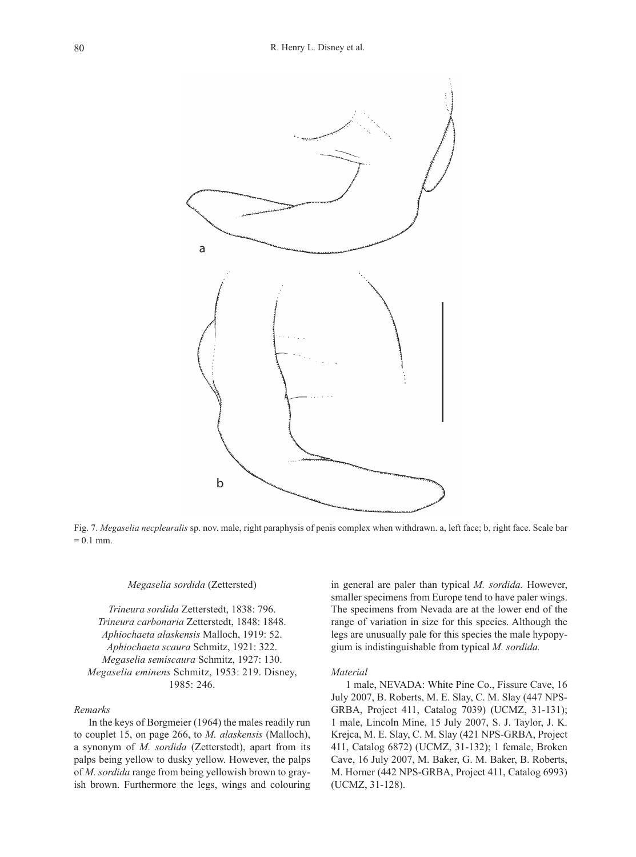

Fig. 7. *Megaselia necpleuralis* sp. nov. male, right paraphysis of penis complex when withdrawn. a, left face; b, right face. Scale bar  $= 0.1$  mm.

## *Megaselia sordida* (Zettersted)

*Trineura sordida* Zetterstedt, 1838: 796. *Trineura carbonaria* Zetterstedt, 1848: 1848. *Aphiochaeta alaskensis* Malloch, 1919: 52. *Aphiochaeta scaura* Schmitz, 1921: 322. *Megaselia semiscaura* Schmitz, 1927: 130. *Megaselia eminens* Schmitz, 1953: 219. Disney, 1985: 246.

# *Remarks*

In the keys of Borgmeier (1964) the males readily run to couplet 15, on page 266, to *M. alaskensis* (Malloch), a synonym of *M. sordida* (Zetterstedt), apart from its palps being yellow to dusky yellow. However, the palps of *M. sordida* range from being yellowish brown to grayish brown. Furthermore the legs, wings and colouring in general are paler than typical *M. sordida.* However, smaller specimens from Europe tend to have paler wings. The specimens from Nevada are at the lower end of the range of variation in size for this species. Although the legs are unusually pale for this species the male hypopygium is indistinguishable from typical *M. sordida.*

## *Material*

1 male, NEVADA: White Pine Co., Fissure Cave, 16 July 2007, B. Roberts, M. E. Slay, C. M. Slay (447 NPS-GRBA, Project 411, Catalog 7039) (UCMZ, 31-131); 1 male, Lincoln Mine, 15 July 2007, S. J. Taylor, J. K. Krejca, M. E. Slay, C. M. Slay (421 NPS-GRBA, Project 411, Catalog 6872) (UCMZ, 31-132); 1 female, Broken Cave, 16 July 2007, M. Baker, G. M. Baker, B. Roberts, M. Horner (442 NPS-GRBA, Project 411, Catalog 6993) (UCMZ, 31-128).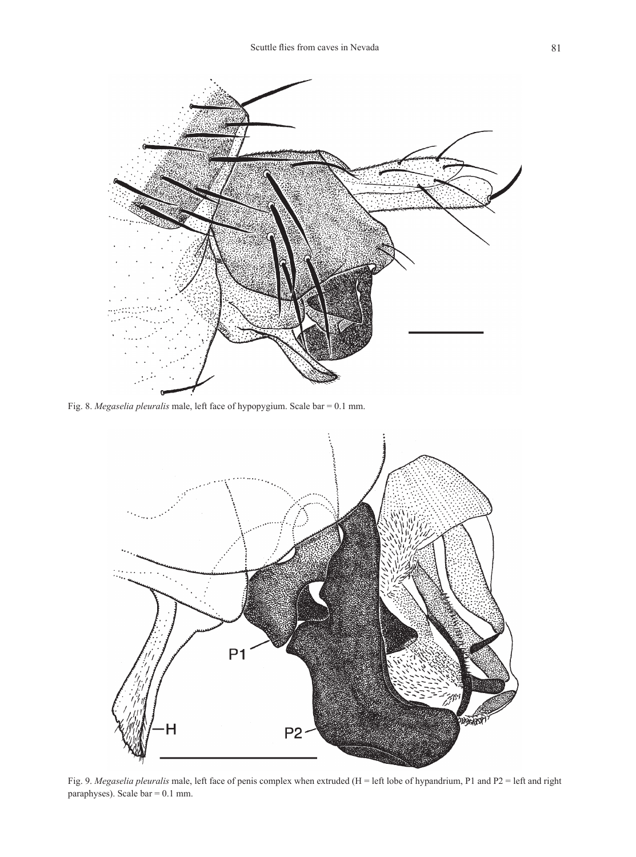

Fig. 8. *Megaselia pleuralis* male, left face of hypopygium. Scale bar = 0.1 mm.



Fig. 9. *Megaselia pleuralis* male, left face of penis complex when extruded (H = left lobe of hypandrium, P1 and P2 = left and right paraphyses). Scale bar = 0.1 mm.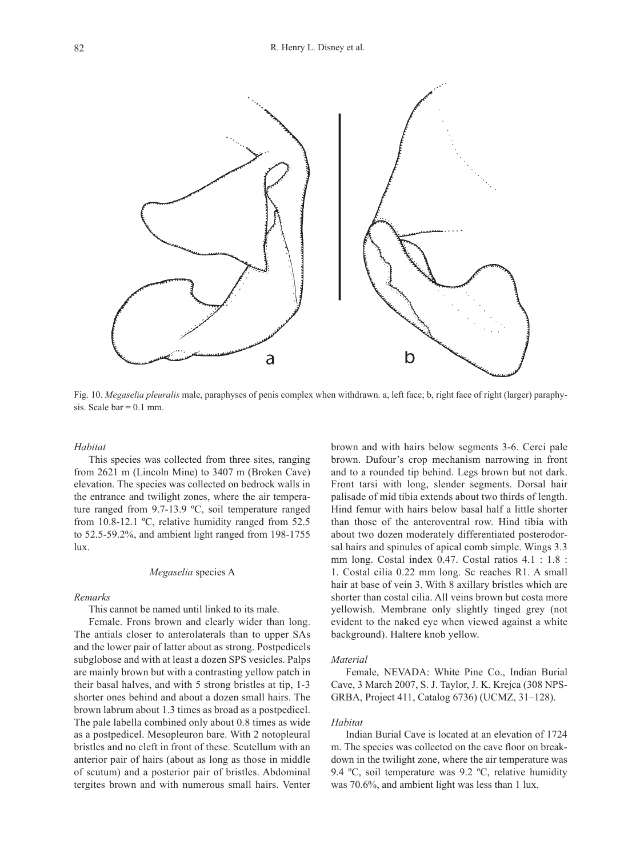

Fig. 10. *Megaselia pleuralis* male, paraphyses of penis complex when withdrawn. a, left face; b, right face of right (larger) paraphysis. Scale bar  $= 0.1$  mm.

# *Habitat*

This species was collected from three sites, ranging from 2621 m (Lincoln Mine) to 3407 m (Broken Cave) elevation. The species was collected on bedrock walls in the entrance and twilight zones, where the air temperature ranged from 9.7-13.9 ºC, soil temperature ranged from 10.8-12.1 ºC, relative humidity ranged from 52.5 to 52.5-59.2%, and ambient light ranged from 198-1755 lux.

#### *Megaselia* species A

# *Remarks*

This cannot be named until linked to its male.

Female. Frons brown and clearly wider than long. The antials closer to anterolaterals than to upper SAs and the lower pair of latter about as strong. Postpedicels subglobose and with at least a dozen SPS vesicles. Palps are mainly brown but with a contrasting yellow patch in their basal halves, and with 5 strong bristles at tip, 1-3 shorter ones behind and about a dozen small hairs. The brown labrum about 1.3 times as broad as a postpedicel. The pale labella combined only about 0.8 times as wide as a postpedicel. Mesopleuron bare. With 2 notopleural bristles and no cleft in front of these. Scutellum with an anterior pair of hairs (about as long as those in middle of scutum) and a posterior pair of bristles. Abdominal tergites brown and with numerous small hairs. Venter

brown and with hairs below segments 3-6. Cerci pale brown. Dufour's crop mechanism narrowing in front and to a rounded tip behind. Legs brown but not dark. Front tarsi with long, slender segments. Dorsal hair palisade of mid tibia extends about two thirds of length. Hind femur with hairs below basal half a little shorter than those of the anteroventral row. Hind tibia with about two dozen moderately differentiated posterodorsal hairs and spinules of apical comb simple. Wings 3.3 mm long. Costal index 0.47. Costal ratios 4.1 : 1.8 : 1. Costal cilia 0.22 mm long. Sc reaches R1. A small hair at base of vein 3. With 8 axillary bristles which are shorter than costal cilia. All veins brown but costa more yellowish. Membrane only slightly tinged grey (not evident to the naked eye when viewed against a white background). Haltere knob yellow.

#### *Material*

Female, NEVADA: White Pine Co., Indian Burial Cave, 3 March 2007, S. J. Taylor, J. K. Krejca (308 NPS-GRBA, Project 411, Catalog 6736) (UCMZ, 31–128).

## *Habitat*

Indian Burial Cave is located at an elevation of 1724 m. The species was collected on the cave floor on breakdown in the twilight zone, where the air temperature was 9.4 ºC, soil temperature was 9.2 ºC, relative humidity was 70.6%, and ambient light was less than 1 lux.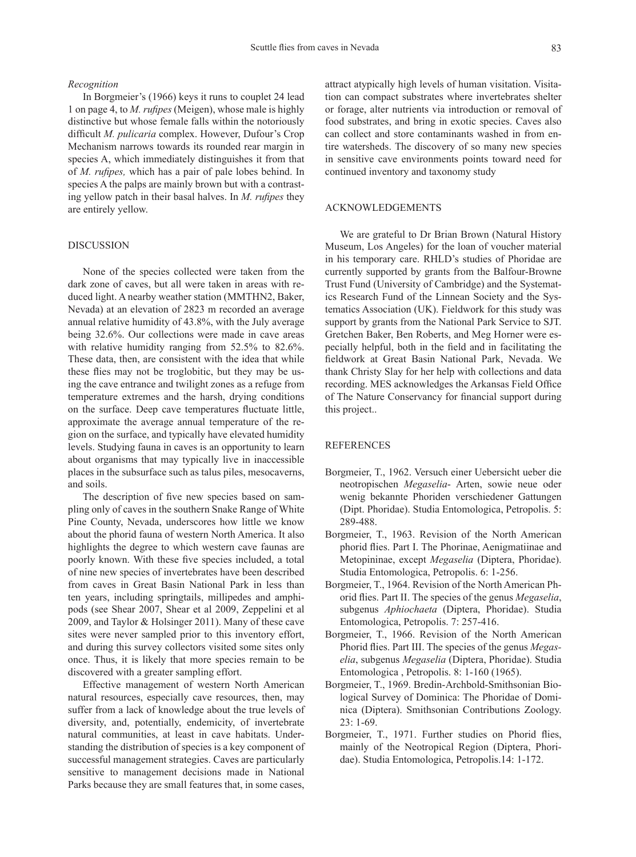# *Recognition*

In Borgmeier's (1966) keys it runs to couplet 24 lead 1 on page 4, to *M. rufipes* (Meigen), whose male is highly distinctive but whose female falls within the notoriously difficult *M. pulicaria* complex. However, Dufour's Crop Mechanism narrows towards its rounded rear margin in species A, which immediately distinguishes it from that of *M. rufipes,* which has a pair of pale lobes behind. In species A the palps are mainly brown but with a contrasting yellow patch in their basal halves. In *M. rufipes* they are entirely yellow.

# DISCUSSION

None of the species collected were taken from the dark zone of caves, but all were taken in areas with reduced light. A nearby weather station (MMTHN2, Baker, Nevada) at an elevation of 2823 m recorded an average annual relative humidity of 43.8%, with the July average being 32.6%. Our collections were made in cave areas with relative humidity ranging from 52.5% to 82.6%. These data, then, are consistent with the idea that while these flies may not be troglobitic, but they may be using the cave entrance and twilight zones as a refuge from temperature extremes and the harsh, drying conditions on the surface. Deep cave temperatures fluctuate little, approximate the average annual temperature of the region on the surface, and typically have elevated humidity levels. Studying fauna in caves is an opportunity to learn about organisms that may typically live in inaccessible places in the subsurface such as talus piles, mesocaverns, and soils.

The description of five new species based on sampling only of caves in the southern Snake Range of White Pine County, Nevada, underscores how little we know about the phorid fauna of western North America. It also highlights the degree to which western cave faunas are poorly known. With these five species included, a total of nine new species of invertebrates have been described from caves in Great Basin National Park in less than ten years, including springtails, millipedes and amphipods (see Shear 2007, Shear et al 2009, Zeppelini et al 2009, and Taylor & Holsinger 2011). Many of these cave sites were never sampled prior to this inventory effort, and during this survey collectors visited some sites only once. Thus, it is likely that more species remain to be discovered with a greater sampling effort.

Effective management of western North American natural resources, especially cave resources, then, may suffer from a lack of knowledge about the true levels of diversity, and, potentially, endemicity, of invertebrate natural communities, at least in cave habitats. Understanding the distribution of species is a key component of successful management strategies. Caves are particularly sensitive to management decisions made in National Parks because they are small features that, in some cases,

attract atypically high levels of human visitation. Visitation can compact substrates where invertebrates shelter or forage, alter nutrients via introduction or removal of food substrates, and bring in exotic species. Caves also can collect and store contaminants washed in from entire watersheds. The discovery of so many new species in sensitive cave environments points toward need for continued inventory and taxonomy study

## ACKNOWLEDGEMENTS

We are grateful to Dr Brian Brown (Natural History Museum, Los Angeles) for the loan of voucher material in his temporary care. RHLD's studies of Phoridae are currently supported by grants from the Balfour-Browne Trust Fund (University of Cambridge) and the Systematics Research Fund of the Linnean Society and the Systematics Association (UK). Fieldwork for this study was support by grants from the National Park Service to SJT. Gretchen Baker, Ben Roberts, and Meg Horner were especially helpful, both in the field and in facilitating the fieldwork at Great Basin National Park, Nevada. We thank Christy Slay for her help with collections and data recording. MES acknowledges the Arkansas Field Office of The Nature Conservancy for financial support during this project..

# REFERENCES

- Borgmeier, T., 1962. Versuch einer Uebersicht ueber die neotropischen *Megaselia*- Arten, sowie neue oder wenig bekannte Phoriden verschiedener Gattungen (Dipt. Phoridae). Studia Entomologica, Petropolis. 5: 289-488.
- Borgmeier, T., 1963. Revision of the North American phorid flies. Part I. The Phorinae, Aenigmatiinae and Metopininae, except *Megaselia* (Diptera, Phoridae). Studia Entomologica, Petropolis. 6: 1-256.
- Borgmeier, T., 1964. Revision of the North American Phorid flies. Part II. The species of the genus *Megaselia*, subgenus *Aphiochaeta* (Diptera, Phoridae). Studia Entomologica, Petropolis. 7: 257-416.
- Borgmeier, T., 1966. Revision of the North American Phorid flies. Part III. The species of the genus *Megaselia*, subgenus *Megaselia* (Diptera, Phoridae). Studia Entomologica , Petropolis. 8: 1-160 (1965).
- Borgmeier, T., 1969. Bredin-Archbold-Smithsonian Biological Survey of Dominica: The Phoridae of Dominica (Diptera). Smithsonian Contributions Zoology. 23: 1-69.
- Borgmeier, T., 1971. Further studies on Phorid flies, mainly of the Neotropical Region (Diptera, Phoridae). Studia Entomologica, Petropolis.14: 1-172.